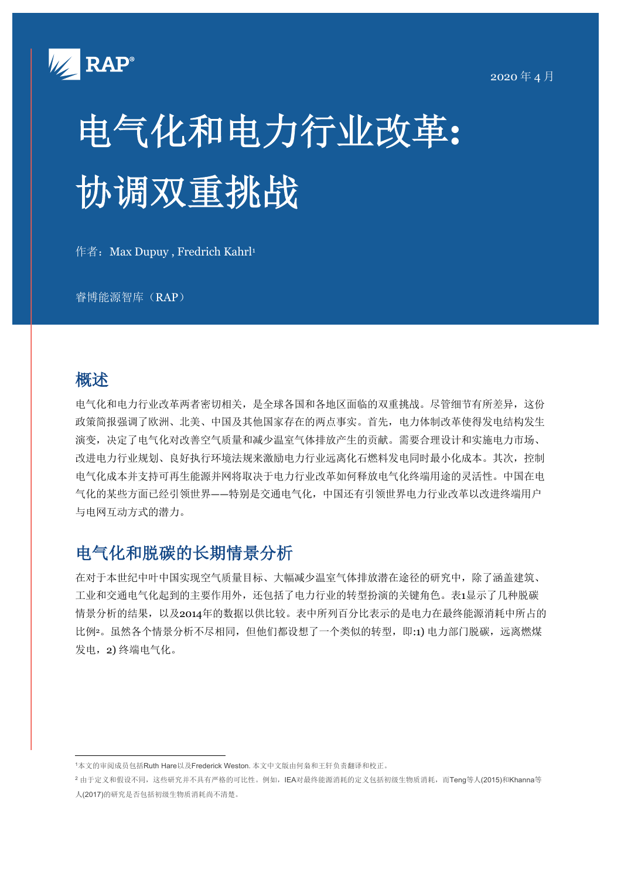

# 电气化和电力行业改革**:** 协调双重挑战

作者: Max Dupuy, Fredrich Kahrl<sup>1</sup>

睿博能源智库(RAP)

## 概述

电气化和电力行业改革两者密切相关,是全球各国和各地区面临的双重挑战。尽管细节有所差异,这份 政策简报强调了欧洲、北美、中国及其他国家存在的两点事实。首先,电力体制改革使得发电结构发生 演变,决定了电气化对改善空气质量和减少温室气体排放产生的贡献。需要合理设计和实施电力市场、 改进电力行业规划、良好执行环境法规来激励电力行业远离化石燃料发电同时最小化成本。其次,控制 电气化成本并支持可再生能源并网将取决于电力行业改革如何释放电气化终端用途的灵活性。中国在电 气化的某些方面已经引领世界——特别是交通电气化,中国还有引领世界电力行业改革以改进终端用户 与电网互动方式的潜力。

# 电气化和脱碳的长期情景分析

在对于本世纪中叶中国实现空气质量目标、大幅减少温室气体排放潜在途径的研究中,除了涵盖建筑、 工业和交通电气化起到的主要作用外,还包括了电力行业的转型扮演的关键角色。表1显示了几种脱碳 情景分析的结果,以及2014年的数据以供比较。表中所列百分比表示的是电力在最终能源消耗中所占的 比例2。虽然各个情景分析不尽相同,但他们都设想了一个类似的转型,即:1) 电力部门脱碳,远离燃煤 发电,2) 终端电气化。

<sup>1</sup>本文的审阅成员包括Ruth Hare以及Frederick Weston.本文中文版由何枭和王轩负责翻译和校正。

<sup>2</sup> 由于定义和假设不同,这些研究并不具有严格的可比性。例如,IEA对最终能源消耗的定义包括初级生物质消耗,而Teng等人(2015)和Khanna等 人(2017)的研究是否包括初级生物质消耗尚不清楚。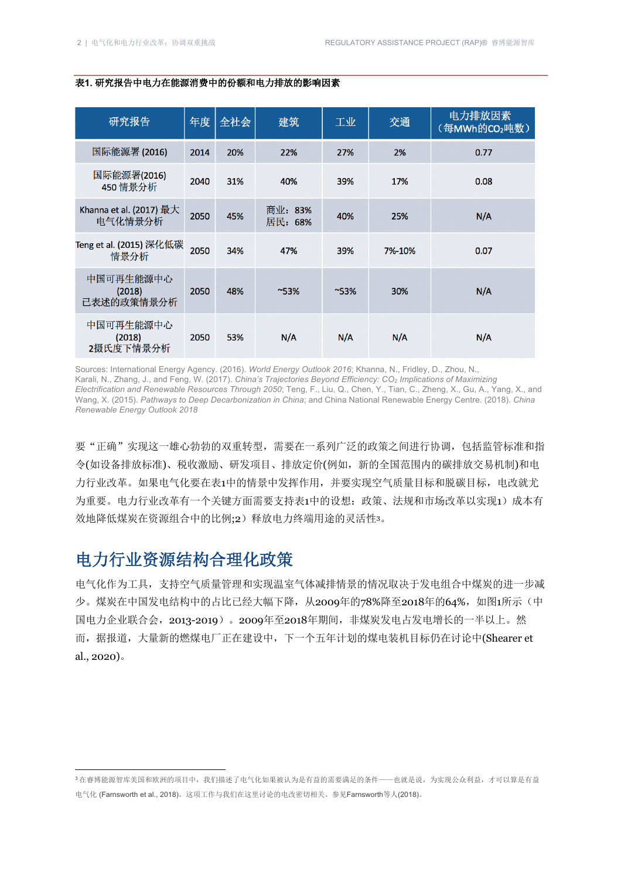| 研究报告                               |  | 年度   | 全社会 | 建筑                 | 工业       | 交通     | 电力排放因素<br>(每MWh的CO2吨数) |
|------------------------------------|--|------|-----|--------------------|----------|--------|------------------------|
| 国际能源署 (2016)                       |  | 2014 | 20% | 22%                | 27%      | 2%     | 0.77                   |
| 国际能源署(2016)<br>450 情景分析            |  | 2040 | 31% | 40%                | 39%      | 17%    | 0.08                   |
| Khanna et al. (2017) 最大<br>电气化情景分析 |  | 2050 | 45% | 商业: 83%<br>居民: 68% | 40%      | 25%    | N/A                    |
| Teng et al. (2015) 深化低碳<br>情景分析    |  | 2050 | 34% | 47%                | 39%      | 7%-10% | 0.07                   |
| 中国可再生能源中心<br>(2018)<br>已表述的政策情景分析  |  | 2050 | 48% | $~^{\sim}53\%$     | $~153\%$ | 30%    | N/A                    |
| 中国可再生能源中心<br>(2018)<br>2摄氏度下情景分析   |  | 2050 | 53% | N/A                | N/A      | N/A    | N/A                    |

#### 表**1.** 研究报告中电力在能源消费中的份额和电力排放的影响因素

Sources: International Energy Agency. (2016). *World Energy Outlook 2016*; Khanna, N., Fridley, D., Zhou, N., Karali, N., Zhang, J., and Feng, W. (2017). *China's Trajectories Beyond Efficiency: CO2 Implications of Maximizing Electrification and Renewable Resources Through 2050*; Teng, F., Liu, Q., Chen, Y., Tian, C., Zheng, X., Gu, A., Yang, X., and Wang, X. (2015). *Pathways to Deep Decarbonization in China*; and China National Renewable Energy Centre. (2018). *China Renewable Energy Outlook 2018*

要"正确"实现这一雄心勃勃的双重转型,需要在一系列广泛的政策之间进行协调,包括监管标准和指 令(如设备排放标准)、税收激励、研发项目、排放定价(例如,新的全国范围内的碳排放交易机制)和电 力行业改革。如果电气化要在表1中的情景中发挥作用,并要实现空气质量目标和脱碳目标,电改就尤 为重要。电力行业改革有一个关键方面需要支持表1中的设想:政策、法规和市场改革以实现1)成本有 效地降低煤炭在资源组合中的比例;2)释放电力终端用途的灵活性3。

# 电力行业资源结构合理化政策

电气化作为工具,支持空气质量管理和实现温室气体减排情景的情况取决于发电组合中煤炭的进一步减 少。煤炭在中国发电结构中的占比已经大幅下降,从2009年的78%降至2018年的64%,如图1所示(中 国电力企业联合会,2013-2019)。2009年至2018年期间,非煤炭发电占发电增长的一半以上。然 而,据报道,大量新的燃煤电厂正在建设中,下一个五年计划的煤电装机目标仍在讨论中(Shearer et al., 2020)。

<sup>3</sup>在睿博能源智库美国和欧洲的项目中,我们描述了电气化如果被认为是有益的需要满足的条件——也就是说,为实现公众利益,才可以算是有益 电气化 (Farnsworth et al., 2018)。这项工作与我们在这里讨论的电改密切相关。参见Farnsworth等人(2018)。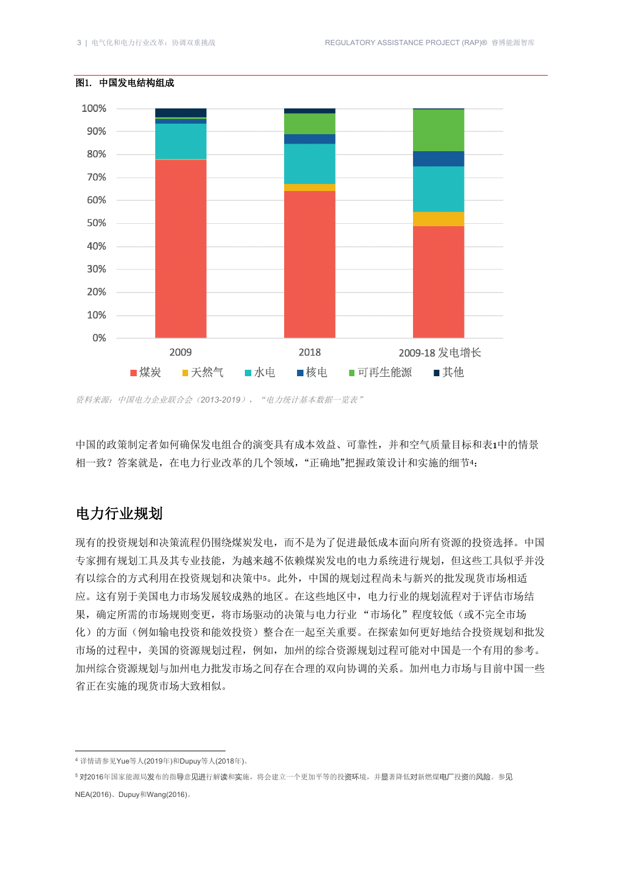

#### 图1. 中国发电结构组成

中国的政策制定者如何确保发电组合的演变具有成本效益、可靠性,并和空气质量目标和表1中的情景 相一致?答案就是,在电力行业改革的几个领域,"正确地"把握政策设计和实施的细节4:

### 电力行业规划

现有的投资规划和决策流程仍围绕煤炭发电,而不是为了促进最低成本面向所有资源的投资选择。中国 专家拥有规划工具及其专业技能,为越来越不依赖煤炭发电的电力系统进行规划,但这些工具似乎并没 有以综合的方式利用在投资规划和决策中5。此外,中国的规划过程尚未与新兴的批发现货市场相适 应。这有别于美国电力市场发展较成熟的地区。在这些地区中,电力行业的规划流程对于评估市场结 果,确定所需的市场规则变更,将市场驱动的决策与电力行业"市场化"程度较低(或不完全市场 化)的方面(例如输电投资和能效投资)整合在一起至关重要。在探索如何更好地结合投资规划和批发 市场的过程中,美国的资源规划过程,例如,加州的综合资源规划过程可能对中国是一个有用的参考。 加州综合资源规划与加州电力批发市场之间存在合理的双向协调的关系。加州电力市场与目前中国一些 省正在实施的现货市场大致相似。

资料来源:中国电力企业联合会(*2013-2019*),"电力统计基本数据一览表"

<sup>4</sup> 详情请参见Yue等人(2019年)和Dupuy等人(2018年)。

<sup>5</sup> 对2016年国家能源局发布的指导意见进行解读和实施,将会建立一个更加平等的投资环境,并显著降低对新燃煤电厂投资的风险。参见 **NEA(2016)、Dupuy和Wang(2016)。**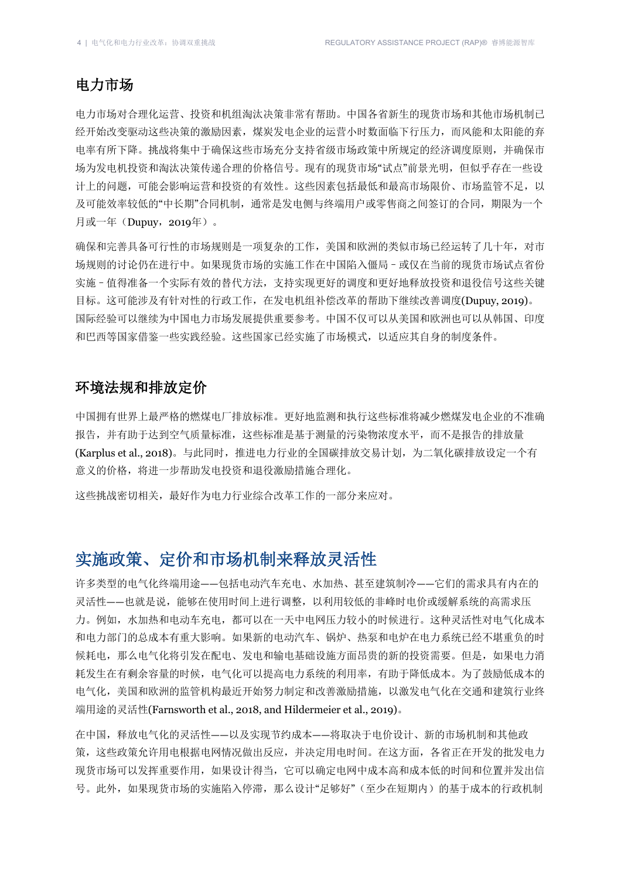#### 电力市场

电力市场对合理化运营、投资和机组淘汰决策非常有帮助。中国各省新生的现货市场和其他市场机制已 经开始改变驱动这些决策的激励因素,煤炭发电企业的运营小时数面临下行压力,而风能和太阳能的弃 电率有所下降。挑战将集中于确保这些市场充分支持省级市场政策中所规定的经济调度原则,并确保市 场为发电机投资和淘汰决策传递合理的价格信号。现有的现货市场"试点"前景光明,但似乎存在一些设 计上的问题,可能会影响运营和投资的有效性。这些因素包括最低和最高市场限价、市场监管不足,以 及可能效率较低的"中长期"合同机制,通常是发电侧与终端用户或零售商之间签订的合同,期限为一个 月或一年(Dupuy,2019年)。

确保和完善具备可行性的市场规则是一项复杂的工作,美国和欧洲的类似市场已经运转了几十年,对市 场规则的讨论仍在进行中。如果现货市场的实施工作在中国陷入僵局–或仅在当前的现货市场试点省份 实施–值得准备一个实际有效的替代方法,支持实现更好的调度和更好地释放投资和退役信号这些关键 目标。这可能涉及有针对性的行政工作, 在发电机组补偿改革的帮助下继续改善调度(Dupuy, 2019)。 国际经验可以继续为中国电力市场发展ᨀ供重要参考。中国不仅可以从美国和欧洲也可以从韩国、印度 和巴西等国家借鉴一些实践经验。这些国家已经实施了市场模式,以适应其自身的制度条件。

#### 环境法规和排放定价

中国拥有世界上最严格的燃煤电厂排放标准。更好地监测和执行这些标准将减少燃煤发电企业的不准确 报告,并有助于达到空气质量标准,这些标准是基于测量的污染物浓度水平,而不是报告的排放量 (Karplus et al., 2018)。与此同时,推进电力行业的全国碳排放交易计划,为二氧化碳排放设定一个有 意义的价格,将进一步帮助发电投资和退役激励措施合理化。

这些挑战密切相关,最好作为电力行业综合改革工作的一部分来应对。

## 实施政策、定价和市场机制来释放灵活性

许多类型的电气化终端用途——包括电动汽车充电、水加热、甚至建筑制冷——它们的需求具有内在的 灵活性——也就是说,能够在使用时间上进行调整,以利用较低的非峰时电价或缓解系统的高需求压 力。例如,水加热和电动车充电,都可以在一天中电网压力较小的时候进行。这种灵活性对电气化成本 和电力部门的总成本有重大影响。如果新的电动汽车、锅炉、热泵和电炉在电力系统已经不堪重负的时 候耗电,那么电气化将引发在配电、发电和输电基础设施方面昂贵的新的投资需要。但是,如果电力消 耗发生在有剩余容量的时候,电气化可以ᨀ高电力系统的利用率,有助于降低成本。为了鼓励低成本的 电气化,美国和欧洲的监管机构最近开始努力制定和改善激励措施,以激发电气化在交通和建筑行业终 端用途的灵活性(Farnsworth et al., 2018, and Hildermeier et al., 2019)。

在中国,释放电气化的灵活性——以及实现节约成本——将取决于电价设计、新的市场机制和其他政 策,这些政策允许用电根据电网情况做出反应,并决定用电时间。在这方面,各省正在开发的批发电力 现货市场可以发挥重要作用,如果设计得当,它可以确定电网中成本高和成本低的时间和位置并发出信 号。此外,如果现货市场的实施陷入停滞,那么设计"足够好"(至少在短期内)的基于成本的行政机制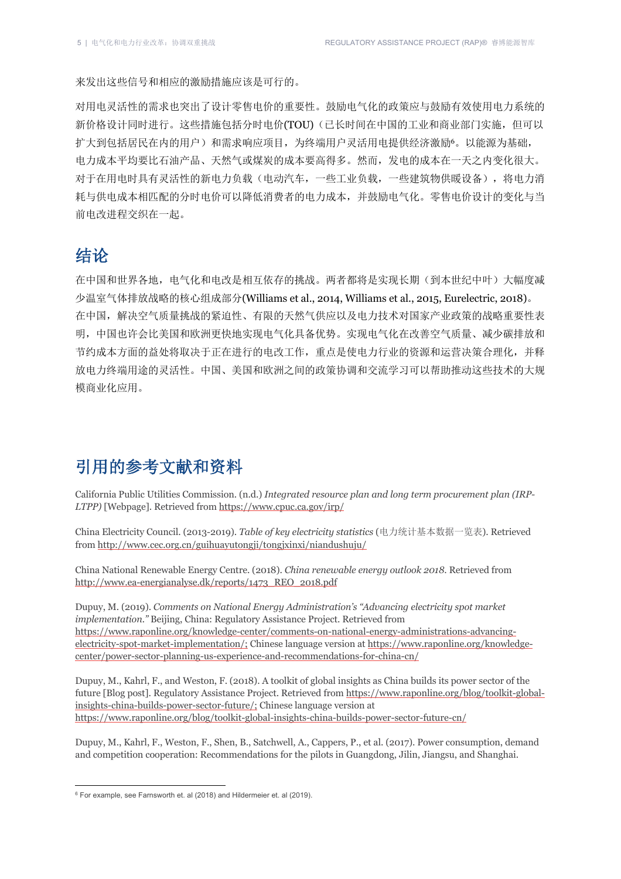来发出这些信号和相应的激励措施应该是可行的。

对用电灵活性的需求也突出了设计零售电价的重要性。鼓励电气化的政策应与鼓励有效使用电力系统的 新价格设计同时进行。这些措施包括分时电价(TOU)(己长时间在中国的工业和商业部门实施,但可以 扩大到包括居民在内的用户)和需求响应项目,为终端用户灵活用电ᨀ供经济激励6。以能源为基础, 电力成本平均要比石油产品、天然气或煤炭的成本要高得多。然而,发电的成本在一天之内变化很大。 对于在用电时具有灵活性的新电力负载(电动汽车,一些工业负载,一些建筑物供暖设备),将电力消 耗与供电成本相匹配的分时电价可以降低消费者的电力成本,并鼓励电气化。零售电价设计的变化与当 前电改进程交织在一起。

# 结论

在中国和世界各地,电气化和电改是相互依存的挑战。两者都将是实现长期(到本世纪中叶)大幅度减 少温室气体排放战略的核心组成部分(Williams et al., 2014, Williams et al., 2015, Eurelectric, 2018)。 在中国,解决空气质量挑战的紧迫性、有限的天然气供应以及电力技术对国家产业政策的战略重要性表 明,中国也许会比美国和欧洲更快地实现电气化具备优势。实现电气化在改善空气质量、减少碳排放和 节约成本方面的益处将取决于正在进行的电改工作,重点是使电力行业的资源和运营决策合理化,并释 放电力终端用途的灵活性。中国、美国和欧洲之间的政策协调和交流学习可以帮助推动这些技术的大规 模商业化应用。

# 引用的参考文献和资料

California Public Utilities Commission. (n.d.) *Integrated resource plan and long term procurement plan (IRP-LTPP)* [Webpage]. Retrieved from https://www.cpuc.ca.gov/irp/

China Electricity Council. (2013-2019). *Table of key electricity statistics* (电力统计基本数据一览表). Retrieved from http://www.cec.org.cn/guihuayutongji/tongjxinxi/niandushuju/

China National Renewable Energy Centre. (2018). *China renewable energy outlook 2018*. Retrieved from http://www.ea-energianalyse.dk/reports/1473\_REO\_2018.pdf

Dupuy, M. (2019). *Comments on National Energy Administration's "Advancing electricity spot market implementation."* Beijing, China: Regulatory Assistance Project. Retrieved from https://www.raponline.org/knowledge-center/comments-on-national-energy-administrations-advancingelectricity-spot-market-implementation/; Chinese language version at https://www.raponline.org/knowledgecenter/power-sector-planning-us-experience-and-recommendations-for-china-cn/

Dupuy, M., Kahrl, F., and Weston, F. (2018). A toolkit of global insights as China builds its power sector of the future [Blog post]. Regulatory Assistance Project. Retrieved from https://www.raponline.org/blog/toolkit-globalinsights-china-builds-power-sector-future/; Chinese language version at https://www.raponline.org/blog/toolkit-global-insights-china-builds-power-sector-future-cn/

Dupuy, M., Kahrl, F., Weston, F., Shen, B., Satchwell, A., Cappers, P., et al. (2017). Power consumption, demand and competition cooperation: Recommendations for the pilots in Guangdong, Jilin, Jiangsu, and Shanghai.

<sup>6</sup> For example, see Farnsworth et. al (2018) and Hildermeier et. al (2019).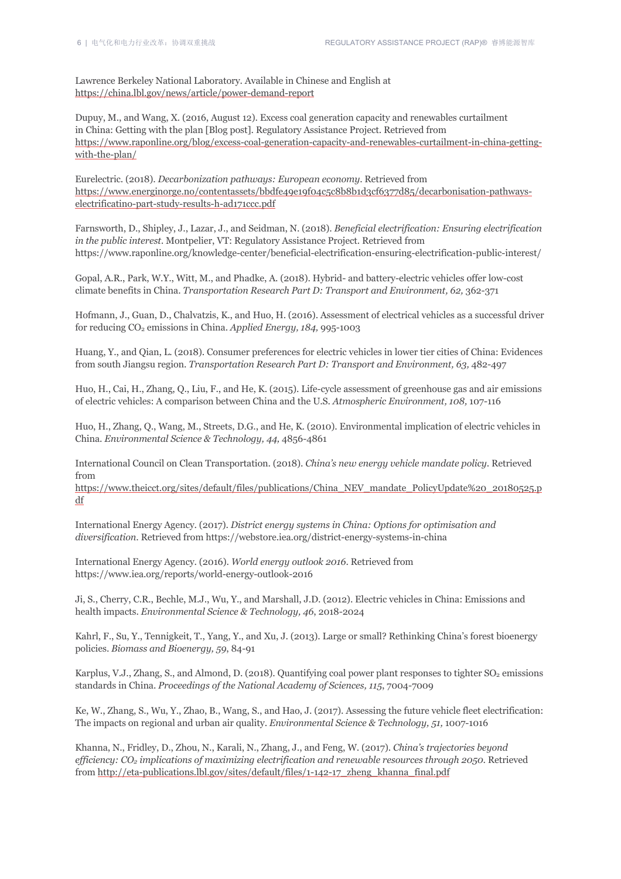Lawrence Berkeley National Laboratory. Available in Chinese and English at https://china.lbl.gov/news/article/power-demand-report

Dupuy, M., and Wang, X. (2016, August 12). Excess coal generation capacity and renewables curtailment in China: Getting with the plan [Blog post]. Regulatory Assistance Project. Retrieved from https://www.raponline.org/blog/excess-coal-generation-capacity-and-renewables-curtailment-in-china-gettingwith-the-plan/

Eurelectric. (2018). *Decarbonization pathways: European economy*. Retrieved from https://www.energinorge.no/contentassets/bbdfe49e19f04c5c8b8b1d3cf6377d85/decarbonisation-pathwayselectrificatino-part-study-results-h-ad171ccc.pdf

Farnsworth, D., Shipley, J., Lazar, J., and Seidman, N. (2018). *Beneficial electrification: Ensuring electrification in the public interest.* Montpelier, VT: Regulatory Assistance Project. Retrieved from https://www.raponline.org/knowledge-center/beneficial-electrification-ensuring-electrification-public-interest/

Gopal, A.R., Park, W.Y., Witt, M., and Phadke, A. (2018). Hybrid- and battery-electric vehicles offer low-cost climate benefits in China. *Transportation Research Part D: Transport and Environment, 62,* 362-371

Hofmann, J., Guan, D., Chalvatzis, K., and Huo, H. (2016). Assessment of electrical vehicles as a successful driver for reducing CO2 emissions in China. *Applied Energy, 184,* 995-1003

Huang, Y., and Qian, L. (2018). Consumer preferences for electric vehicles in lower tier cities of China: Evidences from south Jiangsu region. *Transportation Research Part D: Transport and Environment, 63,* 482-497

Huo, H., Cai, H., Zhang, Q., Liu, F., and He, K. (2015). Life-cycle assessment of greenhouse gas and air emissions of electric vehicles: A comparison between China and the U.S. *Atmospheric Environment, 108,* 107-116

Huo, H., Zhang, Q., Wang, M., Streets, D.G., and He, K. (2010). Environmental implication of electric vehicles in China. *Environmental Science & Technology, 44,* 4856-4861

International Council on Clean Transportation. (2018). *China's new energy vehicle mandate policy*. Retrieved from

https://www.theicct.org/sites/default/files/publications/China\_NEV\_mandate\_PolicyUpdate%20\_20180525.p df

International Energy Agency. (2017). *District energy systems in China: Options for optimisation and diversification*. Retrieved from https://webstore.iea.org/district-energy-systems-in-china

International Energy Agency. (2016). *World energy outlook 2016*. Retrieved from https://www.iea.org/reports/world-energy-outlook-2016

Ji, S., Cherry, C.R., Bechle, M.J., Wu, Y., and Marshall, J.D. (2012). Electric vehicles in China: Emissions and health impacts. *Environmental Science & Technology, 46*, 2018-2024

Kahrl, F., Su, Y., Tennigkeit, T., Yang, Y., and Xu, J. (2013). Large or small? Rethinking China's forest bioenergy policies. *Biomass and Bioenergy, 59*, 84-91

Karplus, V.J., Zhang, S., and Almond, D. (2018). Quantifying coal power plant responses to tighter  $SO_2$  emissions standards in China. *Proceedings of the National Academy of Sciences, 115*, 7004-7009

Ke, W., Zhang, S., Wu, Y., Zhao, B., Wang, S., and Hao, J. (2017). Assessing the future vehicle fleet electrification: The impacts on regional and urban air quality. *Environmental Science & Technology, 51,* 1007-1016

Khanna, N., Fridley, D., Zhou, N., Karali, N., Zhang, J., and Feng, W. (2017). *China's trajectories beyond efficiency: CO2 implications of maximizing electrification and renewable resources through 2050*. Retrieved from http://eta-publications.lbl.gov/sites/default/files/1-142-17\_zheng\_khanna\_final.pdf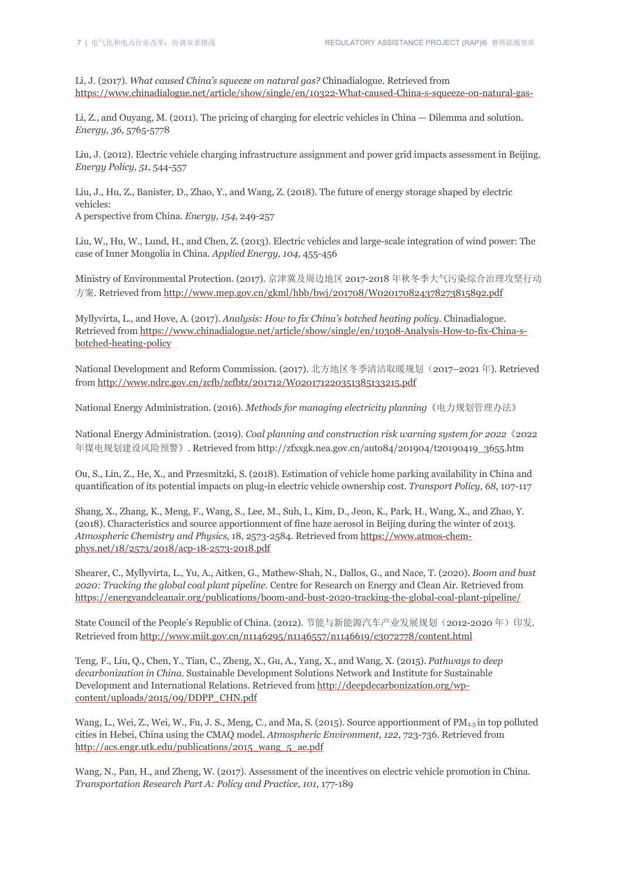Li, J. (2017). *What caused China's squeeze on natural gas?* Chinadialogue. Retrieved from https://www.chinadialogue.net/article/show/single/en/10322-What-caused-China-s-squeeze-on-natural-gas-

Li, Z., and Ouyang, M. (2011). The pricing of charging for electric vehicles in China — Dilemma and solution. *Energy, 36*, 5765-5778

Liu, J. (2012). Electric vehicle charging infrastructure assignment and power grid impacts assessment in Beijing. *Energy Policy, 51*, 544-557

Liu, J., Hu, Z., Banister, D., Zhao, Y., and Wang, Z. (2018). The future of energy storage shaped by electric vehicles:

A perspective from China. *Energy, 154*, 249-257

Liu, W., Hu, W., Lund, H., and Chen, Z. (2013). Electric vehicles and large-scale integration of wind power: The case of Inner Mongolia in China. *Applied Energy, 104*, 455-456

Ministry of Environmental Protection. (2017). 京津冀及周边地区 2017-2018 年秋冬季大气污染综合治理攻坚行动 方案. Retrieved from http://www.mep.gov.cn/gkml/hbb/bwj/201708/W020170824378273815892.pdf

Myllyvirta, L., and Hove, A. (2017). *Analysis: How to fix China's botched heating policy.* Chinadialogue. Retrieved from https://www.chinadialogue.net/article/show/single/en/10308-Analysis-How-to-fix-China-sbotched-heating-policy

National Development and Reform Commission. (2017). 北方地区冬季清洁取暖规划(2017–2021年). Retrieved from http://www.ndrc.gov.cn/zcfb/zcfbtz/201712/W020171220351385133215.pdf

National Energy Administration. (2016). *Methods for managing electricity planning*《电力规划管理办法》

National Energy Administration. (2019). *Coal planning and construction risk warning system for 2022*《2022 年煤电规划建设风险预警》. Retrieved from http://zfxxgk.nea.gov.cn/auto84/201904/t20190419\_3655.htm

Ou, S., Lin, Z., He, X., and Przesmitzki, S. (2018). Estimation of vehicle home parking availability in China and quantification of its potential impacts on plug-in electric vehicle ownership cost. *Transport Policy, 68*, 107-117

Shang, X., Zhang, K., Meng, F., Wang, S., Lee, M., Suh, I., Kim, D., Jeon, K., Park, H., Wang, X., and Zhao, Y. (2018). Characteristics and source apportionment of fine haze aerosol in Beijing during the winter of 2013. *Atmospheric Chemistry and Physics*, 18, 2573-2584. Retrieved from https://www.atmos-chemphys.net/18/2573/2018/acp-18-2573-2018.pdf

Shearer, C., Myllyvirta, L., Yu, A., Aitken, G., Mathew-Shah, N., Dallos, G., and Nace, T. (2020). *Boom and bust 2020: Tracking the global coal plant pipeline.* Centre for Research on Energy and Clean Air. Retrieved from https://energyandcleanair.org/publications/boom-and-bust-2020-tracking-the-global-coal-plant-pipeline/

State Council of the People's Republic of China. (2012). 节能与新能源汽车产业发展规划(2012-2020年)印发. Retrieved from http://www.miit.gov.cn/n1146295/n1146557/n1146619/c3072778/content.html

Teng, F., Liu, Q., Chen, Y., Tian, C., Zheng, X., Gu, A., Yang, X., and Wang, X. (2015). *Pathways to deep decarbonization in China*. Sustainable Development Solutions Network and Institute for Sustainable Development and International Relations. Retrieved from http://deepdecarbonization.org/wpcontent/uploads/2015/09/DDPP\_CHN.pdf

Wang, L., Wei, Z., Wei, W., Fu, J. S., Meng, C., and Ma, S. (2015). Source apportionment of  $PM_{2.5}$  in top polluted cities in Hebei, China using the CMAQ model. *Atmospheric Environment, 122*, 723-736. Retrieved from http://acs.engr.utk.edu/publications/2015\_wang\_5\_ae.pdf

Wang, N., Pan, H., and Zheng, W. (2017). Assessment of the incentives on electric vehicle promotion in China. *Transportation Research Part A: Policy and Practice, 101,* 177-189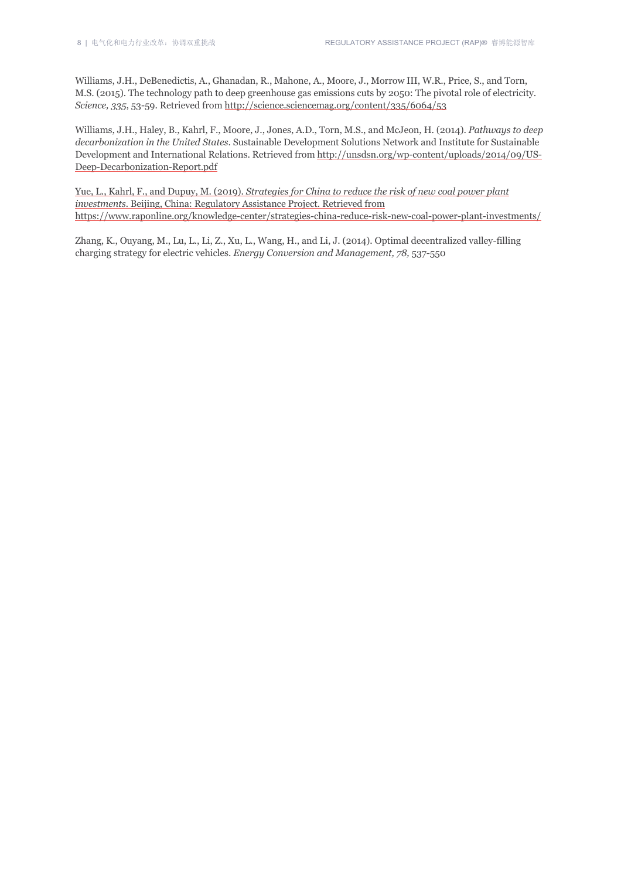Williams, J.H., DeBenedictis, A., Ghanadan, R., Mahone, A., Moore, J., Morrow III, W.R., Price, S., and Torn, M.S. (2015). The technology path to deep greenhouse gas emissions cuts by 2050: The pivotal role of electricity. *Science, 335*, 53-59. Retrieved from http://science.sciencemag.org/content/335/6064/53

Williams, J.H., Haley, B., Kahrl, F., Moore, J., Jones, A.D., Torn, M.S., and McJeon, H. (2014). *Pathways to deep decarbonization in the United States*. Sustainable Development Solutions Network and Institute for Sustainable Development and International Relations. Retrieved from http://unsdsn.org/wp-content/uploads/2014/09/US-Deep-Decarbonization-Report.pdf

Yue, L., Kahrl, F., and Dupuy, M. (2019). *Strategies for China to reduce the risk of new coal power plant investments.* Beijing, China: Regulatory Assistance Project. Retrieved from https://www.raponline.org/knowledge-center/strategies-china-reduce-risk-new-coal-power-plant-investments/

Zhang, K., Ouyang, M., Lu, L., Li, Z., Xu, L., Wang, H., and Li, J. (2014). Optimal decentralized valley-filling charging strategy for electric vehicles. *Energy Conversion and Management, 78,* 537-550